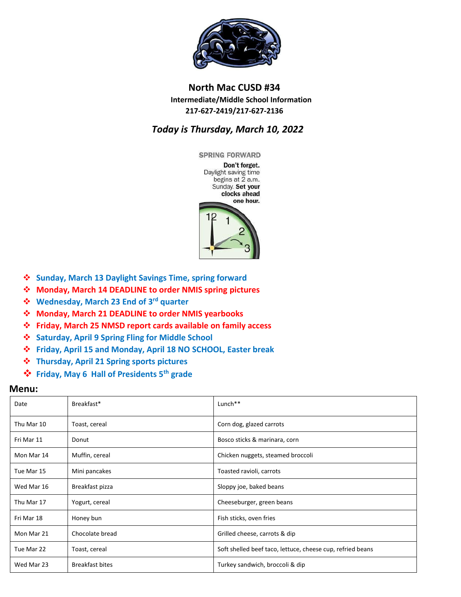

## **North Mac CUSD #34 Intermediate/Middle School Information 217-627-2419/217-627-2136**

## *Today is Thursday, March 10, 2022*



- **Sunday, March 13 Daylight Savings Time, spring forward**
- **Monday, March 14 DEADLINE to order NMIS spring pictures**
- **Wednesday, March 23 End of 3rd quarter**
- **Monday, March 21 DEADLINE to order NMIS yearbooks**
- **Friday, March 25 NMSD report cards available on family access**
- **Saturday, April 9 Spring Fling for Middle School**
- **Friday, April 15 and Monday, April 18 NO SCHOOL, Easter break**
- **Thursday, April 21 Spring sports pictures**
- **Friday, May 6 Hall of Presidents 5th grade**

## **Menu:**

| Date       | Breakfast*             | Lunch <sup>**</sup>                                        |
|------------|------------------------|------------------------------------------------------------|
| Thu Mar 10 | Toast, cereal          | Corn dog, glazed carrots                                   |
| Fri Mar 11 | Donut                  | Bosco sticks & marinara, corn                              |
| Mon Mar 14 | Muffin, cereal         | Chicken nuggets, steamed broccoli                          |
| Tue Mar 15 | Mini pancakes          | Toasted ravioli, carrots                                   |
| Wed Mar 16 | Breakfast pizza        | Sloppy joe, baked beans                                    |
| Thu Mar 17 | Yogurt, cereal         | Cheeseburger, green beans                                  |
| Fri Mar 18 | Honey bun              | Fish sticks, oven fries                                    |
| Mon Mar 21 | Chocolate bread        | Grilled cheese, carrots & dip                              |
| Tue Mar 22 | Toast, cereal          | Soft shelled beef taco, lettuce, cheese cup, refried beans |
| Wed Mar 23 | <b>Breakfast bites</b> | Turkey sandwich, broccoli & dip                            |